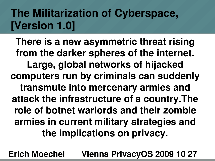# **The Militarization of Cyberspace, [Version 1.0]**

**There is a new asymmetric threat rising from the darker spheres of the internet. Large, global networks of hijacked computers run by criminals can suddenly transmute into mercenary armies and attack the infrastructure of a country.The role of botnet warlords and their zombie armies in current military strategies and the implications on privacy.**

30.10.09 Erich Moechel **Erich Moechel Vienna PrivacyOS 2009 10 27**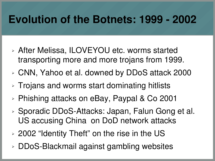### **Evolution of the Botnets: 1999 - 2002**

- ➢ After Melissa, ILOVEYOU etc. worms started transporting more and more trojans from 1999.
- ➢ CNN, Yahoo et al. downed by DDoS attack 2000
- ➢ Trojans and worms start dominating hitlists
- ➢ Phishing attacks on eBay, Paypal & Co 2001
- ➢ Sporadic DDoS-Attacks: Japan, Falun Gong et al. US accusing China on DoD network attacks
- ➢ 2002 "Identity Theft" on the rise in the US
- 30.10.09 Erich Moechel ➢ DDoS-Blackmail against gambling websites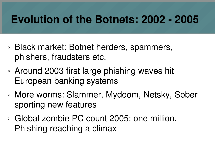### **Evolution of the Botnets: 2002 - 2005**

- ➢ Black market: Botnet herders, spammers, phishers, fraudsters etc.
- ➢ Around 2003 first large phishing waves hit European banking systems
- ➢ More worms: Slammer, Mydoom, Netsky, Sober sporting new features
- ➢ Global zombie PC count 2005: one million. Phishing reaching a climax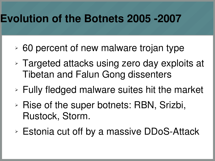#### **Evolution of the Botnets 2005 -2007**

- ➢ 60 percent of new malware trojan type
- ➢ Targeted attacks using zero day exploits at Tibetan and Falun Gong dissenters
- ➢ Fully fledged malware suites hit the market
- ➢ Rise of the super botnets: RBN, Srizbi, Rustock, Storm.
- ➢ Estonia cut off by a massive DDoS-Attack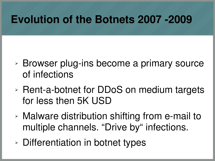### **Evolution of the Botnets 2007 -2009**

- ➢ Browser plug-ins become a primary source of infections
- ➢ Rent-a-botnet for DDoS on medium targets for less then 5K USD
- ➢ Malware distribution shifting from e-mail to multiple channels. "Drive by" infections.
- ➢ Differentiation in botnet types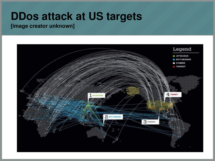#### **DDos attack at US targets**

**[image creator unknown]**

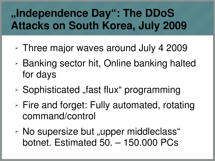# **"Independence Day": The DDoS Attacks on South Korea, July 2009**

- ➢ Three major waves around July 4 2009
- ➢ Banking sector hit, Online banking halted for days
- **▶ Sophisticated "fast flux" programming**
- ➢ Fire and forget: Fully automated, rotating command/control
- **EXECUSE:** No supersize but "upper middleclass" botnet. Estimated 50. – 150.000 PCs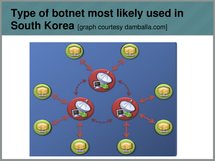### **Type of botnet most likely used in South Korea** [graph courtesy damballa.com]

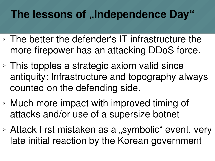# **The lessons of "Independence Day"**

- ➢ The better the defender's IT infrastructure the more firepower has an attacking DDoS force.
- ➢ This topples a strategic axiom valid since antiquity: Infrastructure and topography always counted on the defending side.
- ➢ Much more impact with improved timing of attacks and/or use of a supersize botnet
- $\triangleright$  Attack first mistaken as a "symbolic" event, very late initial reaction by the Korean government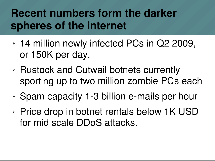## **Recent numbers form the darker spheres of the internet**

- ➢ 14 million newly infected PCs in Q2 2009, or 150K per day.
- ➢ Rustock and Cutwail botnets currently sporting up to two million zombie PCs each
- ➢ Spam capacity 1-3 billion e-mails per hour
- ➢ Price drop in botnet rentals below 1K USD for mid scale DDoS attacks.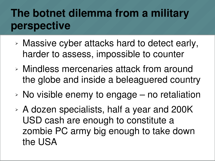# **The botnet dilemma from a military perspective**

- ➢ Massive cyber attacks hard to detect early, harder to assess, impossible to counter
- ➢ Mindless mercenaries attack from around the globe and inside a beleaguered country
- $\geq$  No visible enemy to engage no retaliation
- ➢ A dozen specialists, half a year and 200K USD cash are enough to constitute a zombie PC army big enough to take down the USA